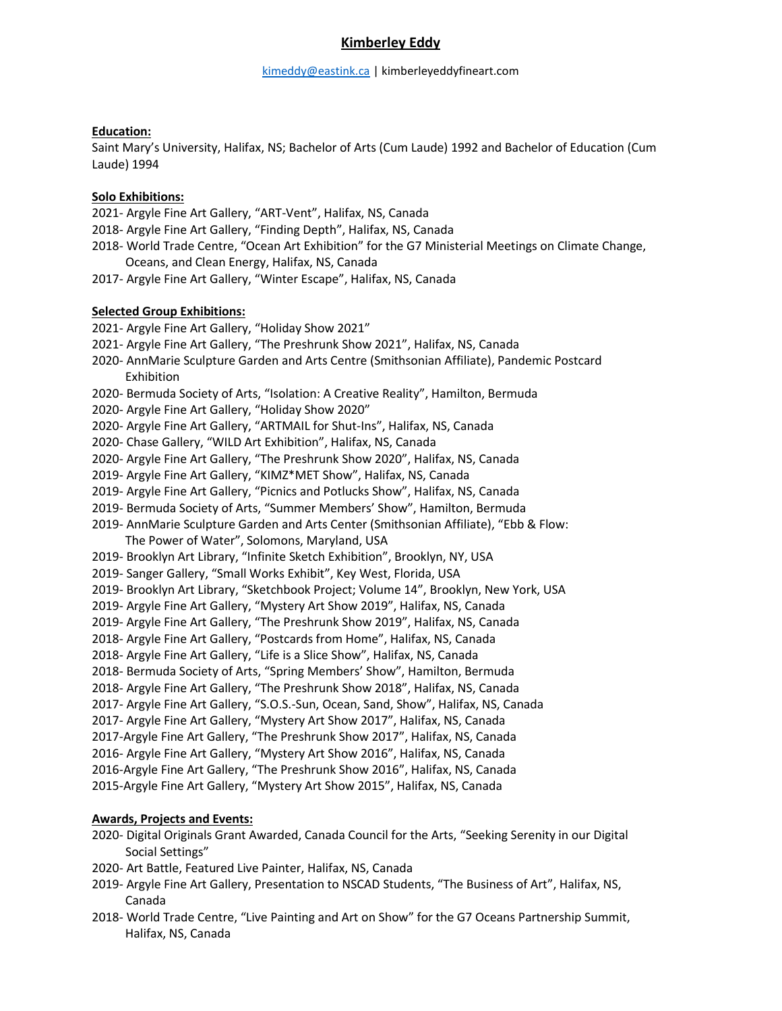# **Kimberley Eddy**

## **Education:**

Saint Mary's University, Halifax, NS; Bachelor of Arts (Cum Laude) 1992 and Bachelor of Education (Cum Laude) 1994

## **Solo Exhibitions:**

2021- Argyle Fine Art Gallery, "ART-Vent", Halifax, NS, Canada

- 2018- Argyle Fine Art Gallery, "Finding Depth", Halifax, NS, Canada
- 2018- World Trade Centre, "Ocean Art Exhibition" for the G7 Ministerial Meetings on Climate Change, Oceans, and Clean Energy, Halifax, NS, Canada
- 2017- Argyle Fine Art Gallery, "Winter Escape", Halifax, NS, Canada

## **Selected Group Exhibitions:**

- 2021- Argyle Fine Art Gallery, "Holiday Show 2021"
- 2021- Argyle Fine Art Gallery, "The Preshrunk Show 2021", Halifax, NS, Canada
- 2020- AnnMarie Sculpture Garden and Arts Centre (Smithsonian Affiliate), Pandemic Postcard Exhibition
- 2020- Bermuda Society of Arts, "Isolation: A Creative Reality", Hamilton, Bermuda
- 2020- Argyle Fine Art Gallery, "Holiday Show 2020"
- 2020- Argyle Fine Art Gallery, "ARTMAIL for Shut-Ins", Halifax, NS, Canada
- 2020- Chase Gallery, "WILD Art Exhibition", Halifax, NS, Canada
- 2020- Argyle Fine Art Gallery, "The Preshrunk Show 2020", Halifax, NS, Canada
- 2019- Argyle Fine Art Gallery, "KIMZ\*MET Show", Halifax, NS, Canada
- 2019- Argyle Fine Art Gallery, "Picnics and Potlucks Show", Halifax, NS, Canada
- 2019- Bermuda Society of Arts, "Summer Members' Show", Hamilton, Bermuda
- 2019- AnnMarie Sculpture Garden and Arts Center (Smithsonian Affiliate), "Ebb & Flow:
- The Power of Water", Solomons, Maryland, USA
- 2019- Brooklyn Art Library, "Infinite Sketch Exhibition", Brooklyn, NY, USA
- 2019- Sanger Gallery, "Small Works Exhibit", Key West, Florida, USA
- 2019- Brooklyn Art Library, "Sketchbook Project; Volume 14", Brooklyn, New York, USA
- 2019- Argyle Fine Art Gallery, "Mystery Art Show 2019", Halifax, NS, Canada
- 2019- Argyle Fine Art Gallery, "The Preshrunk Show 2019", Halifax, NS, Canada
- 2018- Argyle Fine Art Gallery, "Postcards from Home", Halifax, NS, Canada
- 2018- Argyle Fine Art Gallery, "Life is a Slice Show", Halifax, NS, Canada
- 2018- Bermuda Society of Arts, "Spring Members' Show", Hamilton, Bermuda
- 2018- Argyle Fine Art Gallery, "The Preshrunk Show 2018", Halifax, NS, Canada
- 2017- Argyle Fine Art Gallery, "S.O.S.-Sun, Ocean, Sand, Show", Halifax, NS, Canada
- 2017- Argyle Fine Art Gallery, "Mystery Art Show 2017", Halifax, NS, Canada
- 2017-Argyle Fine Art Gallery, "The Preshrunk Show 2017", Halifax, NS, Canada
- 2016- Argyle Fine Art Gallery, "Mystery Art Show 2016", Halifax, NS, Canada
- 2016-Argyle Fine Art Gallery, "The Preshrunk Show 2016", Halifax, NS, Canada
- 2015-Argyle Fine Art Gallery, "Mystery Art Show 2015", Halifax, NS, Canada

# **Awards, Projects and Events:**

- 2020- Digital Originals Grant Awarded, Canada Council for the Arts, "Seeking Serenity in our Digital Social Settings"
- 2020- Art Battle, Featured Live Painter, Halifax, NS, Canada
- 2019- Argyle Fine Art Gallery, Presentation to NSCAD Students, "The Business of Art", Halifax, NS, Canada
- 2018- World Trade Centre, "Live Painting and Art on Show" for the G7 Oceans Partnership Summit, Halifax, NS, Canada